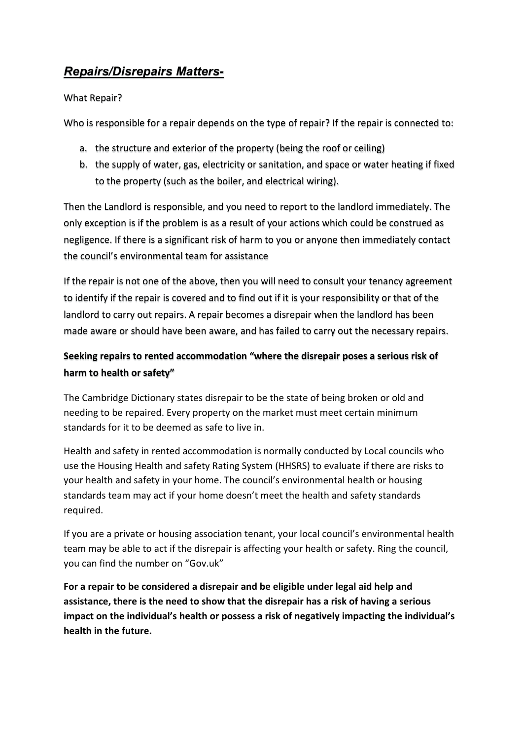# *Repairs/Disrepairs Matters-*

## What Repair?

Who is responsible for a repair depends on the type of repair? If the repair is connected to:

- a. the structure and exterior of the property (being the roof or ceiling)
- b. the supply of water, gas, electricity or sanitation, and space or water heating if fixed to the property (such as the boiler, and electrical wiring).

Then the Landlord is responsible, and you need to report to the landlord immediately. The only exception is if the problem is as a result of your actions which could be construed as negligence. If there is a significant risk of harm to you or anyone then immediately contact the council's environmental team for assistance

If the repair is not one of the above, then you will need to consult your tenancy agreement to identify if the repair is covered and to find out if it is your responsibility or that of the landlord to carry out repairs. A repair becomes a disrepair when the landlord has been made aware or should have been aware, and has failed to carry out the necessary repairs.

## **Seeking repairs to rented accommodation "where the disrepair poses a serious risk of harm to health or safety"**

The Cambridge Dictionary states disrepair to be the state of being broken or old and needing to be repaired. Every property on the market must meet certain minimum standards for it to be deemed as safe to live in.

Health and safety in rented accommodation is normally conducted by Local councils who use the Housing Health and safety Rating System (HHSRS) to evaluate if there are risks to your health and safety in your home. The council's environmental health or housing standards team may act if your home doesn't meet the health and safety standards required.

If you are a private or housing association tenant, your local council's environmental health team may be able to act if the disrepair is affecting your health or safety. Ring the council, you can find the number on "Gov.uk"

**For a repair to be considered a disrepair and be eligible under legal aid help and assistance, there is the need to show that the disrepair has a risk of having a serious impact on the individual's health or possess a risk of negatively impacting the individual's health in the future.**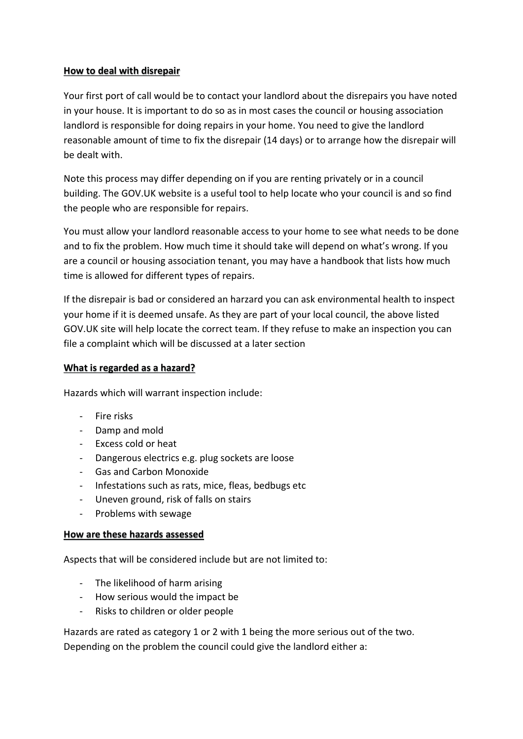#### **How to deal with disrepair**

Your first port of call would be to contact your landlord about the disrepairs you have noted in your house. It is important to do so as in most cases the council or housing association landlord is responsible for doing repairs in your home. You need to give the landlord reasonable amount of time to fix the disrepair (14 days) or to arrange how the disrepair will be dealt with.

Note this process may differ depending on if you are renting privately or in a council building. The GOV.UK website is a useful tool to help locate who your council is and so find the people who are responsible for repairs.

You must allow your landlord reasonable access to your home to see what needs to be done and to fix the problem. How much time it should take will depend on what's wrong. If you are a council or housing association tenant, you may have a handbook that lists how much time is allowed for different types of repairs.

If the disrepair is bad or considered an harzard you can ask environmental health to inspect your home if it is deemed unsafe. As they are part of your local council, the above listed GOV.UK site will help locate the correct team. If they refuse to make an inspection you can file a complaint which will be discussed at a later section

#### **What is regarded as a hazard?**

Hazards which will warrant inspection include:

- Fire risks
- Damp and mold
- Excess cold or heat
- Dangerous electrics e.g. plug sockets are loose
- Gas and Carbon Monoxide
- Infestations such as rats, mice, fleas, bedbugs etc
- Uneven ground, risk of falls on stairs
- Problems with sewage

#### **How are these hazards assessed**

Aspects that will be considered include but are not limited to:

- The likelihood of harm arising
- How serious would the impact be
- Risks to children or older people

Hazards are rated as category 1 or 2 with 1 being the more serious out of the two. Depending on the problem the council could give the landlord either a: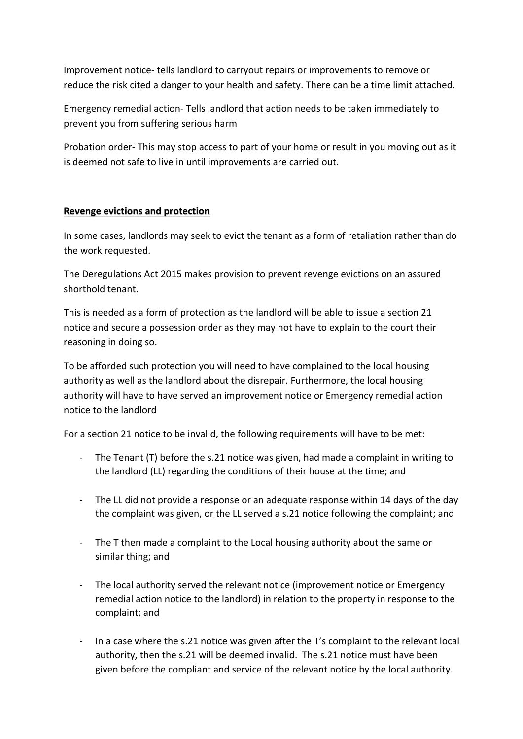Improvement notice- tells landlord to carryout repairs or improvements to remove or reduce the risk cited a danger to your health and safety. There can be a time limit attached.

Emergency remedial action- Tells landlord that action needs to be taken immediately to prevent you from suffering serious harm

Probation order- This may stop access to part of your home or result in you moving out as it is deemed not safe to live in until improvements are carried out.

## **Revenge evictions and protection**

In some cases, landlords may seek to evict the tenant as a form of retaliation rather than do the work requested.

The Deregulations Act 2015 makes provision to prevent revenge evictions on an assured shorthold tenant.

This is needed as a form of protection as the landlord will be able to issue a section 21 notice and secure a possession order as they may not have to explain to the court their reasoning in doing so.

To be afforded such protection you will need to have complained to the local housing authority as well as the landlord about the disrepair. Furthermore, the local housing authority will have to have served an improvement notice or Emergency remedial action notice to the landlord

For a section 21 notice to be invalid, the following requirements will have to be met:

- The Tenant (T) before the s.21 notice was given, had made a complaint in writing to the landlord (LL) regarding the conditions of their house at the time; and
- The LL did not provide a response or an adequate response within 14 days of the day the complaint was given, or the LL served a s.21 notice following the complaint; and
- The T then made a complaint to the Local housing authority about the same or similar thing; and
- The local authority served the relevant notice (improvement notice or Emergency remedial action notice to the landlord) in relation to the property in response to the complaint; and
- In a case where the s.21 notice was given after the T's complaint to the relevant local authority, then the s.21 will be deemed invalid. The s.21 notice must have been given before the compliant and service of the relevant notice by the local authority.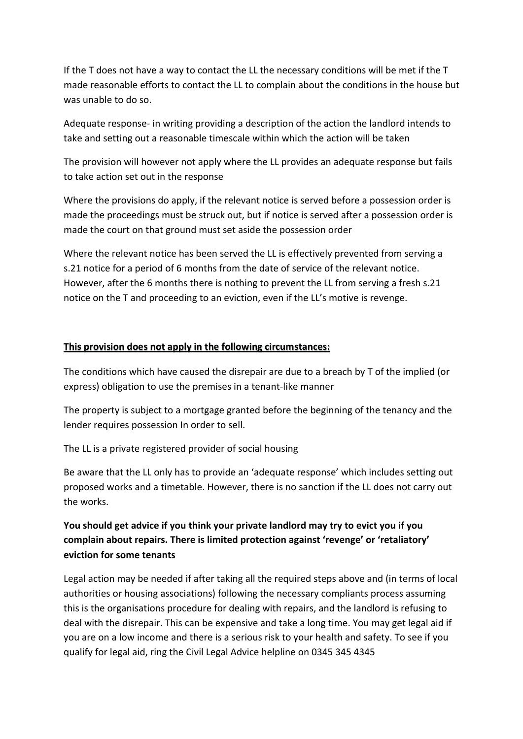If the T does not have a way to contact the LL the necessary conditions will be met if the T made reasonable efforts to contact the LL to complain about the conditions in the house but was unable to do so.

Adequate response- in writing providing a description of the action the landlord intends to take and setting out a reasonable timescale within which the action will be taken

The provision will however not apply where the LL provides an adequate response but fails to take action set out in the response

Where the provisions do apply, if the relevant notice is served before a possession order is made the proceedings must be struck out, but if notice is served after a possession order is made the court on that ground must set aside the possession order

Where the relevant notice has been served the LL is effectively prevented from serving a s.21 notice for a period of 6 months from the date of service of the relevant notice. However, after the 6 months there is nothing to prevent the LL from serving a fresh s.21 notice on the T and proceeding to an eviction, even if the LL's motive is revenge.

## **This provision does not apply in the following circumstances:**

The conditions which have caused the disrepair are due to a breach by T of the implied (or express) obligation to use the premises in a tenant-like manner

The property is subject to a mortgage granted before the beginning of the tenancy and the lender requires possession In order to sell.

The LL is a private registered provider of social housing

Be aware that the LL only has to provide an 'adequate response' which includes setting out proposed works and a timetable. However, there is no sanction if the LL does not carry out the works.

## **You should get advice if you think your private landlord may try to evict you if you complain about repairs. There is limited protection against 'revenge' or 'retaliatory' eviction for some tenants**

Legal action may be needed if after taking all the required steps above and (in terms of local authorities or housing associations) following the necessary compliants process assuming this is the organisations procedure for dealing with repairs, and the landlord is refusing to deal with the disrepair. This can be expensive and take a long time. You may get legal aid if you are on a low income and there is a serious risk to your health and safety. To see if you qualify for legal aid, ring the Civil Legal Advice helpline on 0345 345 4345